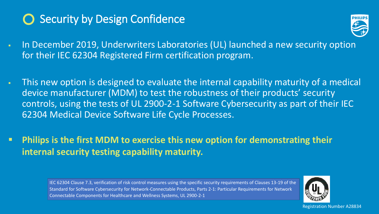## **Security by Design Confidence**

- In December 2019, Underwriters Laboratories (UL) launched a new security option for their IEC 62304 Registered Firm certification program.
- This new option is designed to evaluate the internal capability maturity of a medical device manufacturer (MDM) to test the robustness of their products' security controls, using the tests of UL 2900-2-1 Software Cybersecurity as part of their IEC 62304 Medical Device Software Life Cycle Processes.
- **Philips is the first MDM to exercise this new option for demonstrating their internal security testing capability maturity.**

IEC 62304 Clause 7.3, verification of risk control measures using the specific security requirements of Clauses 13-19 of the Standard for Software Cybersecurity for Network-Connectable Products, Parts 2-1: Particular Requirements for Network Connectable Components for Healthcare and Wellness Systems, UL 2900-2-1





Registration Number A28834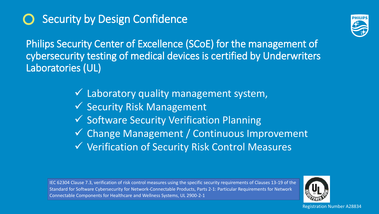# **Security by Design Confidence**

Philips Security Center of Excellence (SCoE) for the management of cybersecurity testing of medical devices is certified by Underwriters Laboratories (UL)

> $\checkmark$  Laboratory quality management system, V Security Risk Management Software Security Verification Planning Change Management / Continuous Improvement Verification of Security Risk Control Measures

IEC 62304 Clause 7.3, verification of risk control measures using the specific security requirements of Clauses 13-19 of the Standard for Software Cybersecurity for Network-Connectable Products, Parts 2-1: Particular Requirements for Network Connectable Components for Healthcare and Wellness Systems, UL 2900-2-1





Registration Number A28834